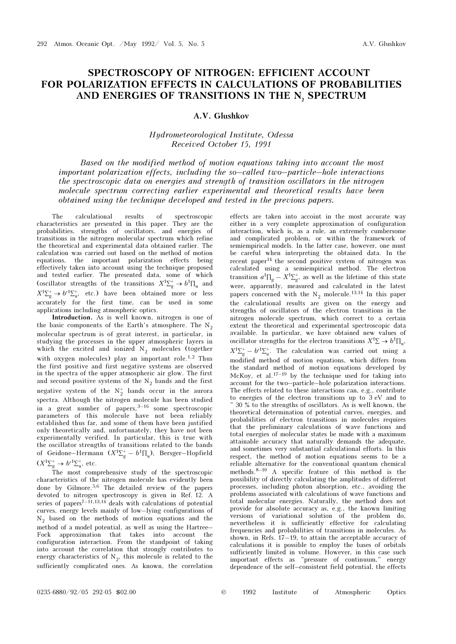## SPECTROSCOPY OF NITROGEN: EFFICIENT ACCOUNT FOR POLARIZATION EFFECTS IN CALCULATIONS OF PROBABILITIES AND ENERGIES OF TRANSITIONS IN THE N, SPECTRUM

## A.V. Glushkov

## Hydrometeorological Institute, Odessa Received October 15, 1991

Based on the modified method of motion equations taking into account the most important polarization effects, including the so–called two–particle–hole interactions the spectroscopic data on energies and strength of transition oscillators in the nitrogen molecule spectrum correcting earlier experimental and theoretical results have been obtained using the technique developed and tested in the previous papers.

The calculational results of spectroscopic characteristics are presented in this paper. They are the probabilities, strengths of oscillators, and energies of transitions in the nitrogen molecular spectrum which refine the theoretical and experimental data obtained earlier. The calculation was carried out based on the method of motion equations, the important polarization effects being effectively taken into account using the technique proposed and tested earlier. The presented data, some of which (oscillator strengths of the transitions  $X^1\Sigma_g^+ \to b^1\Pi_u$  and  $X^{1}\Sigma_f^+$  $X^1\Sigma_g^+ \to b'^1\Sigma_u^+$ , etc.) have been obtained more or less accurately for the first time, can be used in some applications including atmospheric optics.

Introduction. As is well known, nitrogen is one of the basic components of the Earth's atmosphere. The  $N_2$ 2 molecular spectrum is of great interest, in particular, in studying the processes in the upper atmospheric layers in which the excited and ionized  $N_2$  molecules (together with oxygen molecules) play an important role.<sup>1,2</sup> Thus the first positive and first negative systems are observed in the spectra of the upper atmospheric air glow. The first and second positive systems of the  $N_2$  bands and the first negative system of the  $N_2^+$  bands occur in the aurora spectra. Although the nitrogen molecule has been studied in a great number of papers, $3-16$  some spectroscopic parameters of this molecule have not been reliably established thus far, and some of them have been justified only theoretically and, unfortunately, they have not been experimentally verified. In particular, this is true with the oscillator strengths of transitions related to the bands of Geidone–Hermann  $(X^1\Sigma_g^+ - b^1\Pi_u)$ , Bersger–Hopfield<br> $(X^1\Sigma^+ - b^1\Pi_u)$  $(X^1\Sigma_g^+ \rightarrow b^{\prime 1}\Sigma_u^+$ , etc.

The most comprehensive study of the spectroscopic characteristics of the nitrogen molecule has evidently been done by Gilmore.5,6 The detailed review of the papers devoted to nitrogen spectroscopy is given in Ref. 12. A series of papers<sup>7–11,13,14</sup> deals with calculations of potential curves, energy levels mainly of low–lying configurations of  $N_2$  based on the methods of motion equations and the method of a model potential as well as using the Hertree. method of a model potential, as well as using the Hartree– Fock approximation that takes into account the configuration interaction. From the standpoint of taking into account the correlation that strongly contributes to energy characteristics of  $N_2$ , this molecule is related to the<br>cufficiently complicated once As known, the correlation sufficiently complicated ones. As known, the correlation

effects are taken into accoint in the most accurate way either in a very complete approximation of configuration interaction, which is, as a rule, an extremely cumbersome and complicated problem, or within the framework of semiempirical models. In the latter case, however, one must be careful when interpreting the obtained data. In the recent paper<sup>14</sup> the second positive system of nitrogen was calculated using a semiempirical method. The electron transition  $a^1\Pi_g - X^1\Sigma_g^+$ , as well as the lifetime of this state<br>wave apparently magazined and calculated in the latest were, apparently, measured and calculated in the latest papers concerned with the  $N_2$  molecule.<sup>13,14</sup> In this paper<br>the selectional partite are given an the energy and the calculational results are given on the energy and strengths of oscillators of the electron transitions in the nitrogen molecule spectrum, which correct to a certain extent the theoretical and experimental spectroscopic data available. In particular, we have obtained new values of oscillator strengths for the electron transitions  $X^1\Sigma \to b^1\Pi_n$ ,  $X^1\Sigma_g^+ - b'^1\Sigma_u^+$ . The calculation was carried out using a modified method of metion counting, which different from modified method of motion equations, which differs from the standard method of motion equations developed by McKoy, et al.<sup>17–19</sup> by the technique used for taking into account for the two–particle–hole polarization interactions. The effects related to these interactions can, e.g., contribute to energies of the electron transitions up to 3 eV and to ~ 30 % to the strengths of oscillators. As is well known, the theoretical determination of potential curves, energies, and probabilities of electron transitions in molecules requires that the preliminary calculations of wave functions and total energies of molecular states be made with a maximum attainable accuracy that naturally demands the adequate, and sometimes very substantial calculational efforts. In this respect, the method of motion equations seems to be a reliable alternative for the conventional quantum chemical methods. $8-10$  A specific feature of this method is the possibility of directly calculating the amplitudes of different processes, including photon absorption, etc., avoiding the problems associated with calculations of wave functions and total molecular energies. Naturally, the method does not provide for absolute accuracy as, e.g., the known limiting versions of variational solution of the problem do, nevertheless it is sufficiently effective for calculating frequencies and probabilities of transitions in molecules. As shown, in Refs. 17–19, to attain the acceptable accuracy of calculations it is possible to employ the bases of orbitals sufficiently limited in volume. However, in this case such important effects as "pressure of continuum," energy dependence of the self–consistent field potential, the effects

0235-6880/92/05 292-05 \$02.00 © 1992 Institute of Atmospheric Optics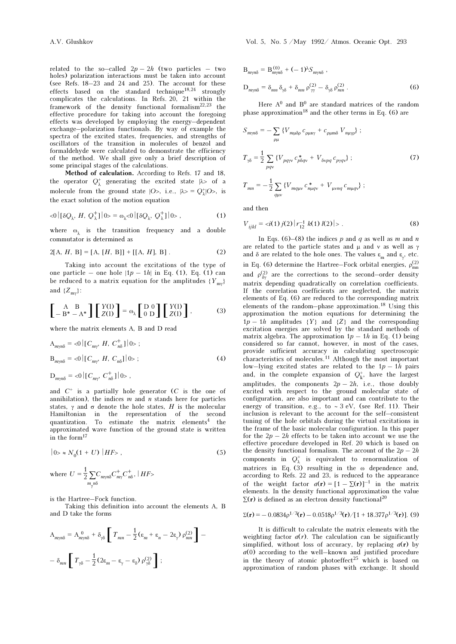related to the so–called  $2p - 2h$  (two particles – two holes) polarization interactions must be taken into account (see Refs. 18–23 and 24 and 25). The account for these effects based on the standard technique<sup>18,24</sup> strongly complicates the calculations. In Refs. 20, 21 within the framework of the density functional formalism $22,23$  the effective procedure for taking into account the foregoing effects was developed by employing the energy–dependent exchange–polarization functionals. By way of example the spectra of the excited states, frequencies, and strengths of oscillators of the transition in molecules of benzol and formaldehyde were calculated to demonstrate the efficiency of the method. We shall give only a brief description of some principal stages of the calculations.

Method of calculation. According to Refs. 17 and 18, the operator  $Q^+_\lambda$  generating the excited state  $|\lambda>$  of a molecule from the ground state  $|O_>, i.e., |\lambda > = Q^+_{\lambda}|O_>,$  is the exact solution of the motion equation

$$
\langle 0 | [\delta Q_{\lambda}, H, Q_{\lambda}^+] | 0 \rangle = \omega_{\lambda} \langle 0 | [\delta Q_{\lambda}, Q_{\lambda}^+] | 0 \rangle , \qquad (1)
$$

where  $\omega_1$  is the transition frequency and a double commutator is determined as

$$
2[A, H, B] = [A, [H, B]] + [[A, H], B]. \tag{2}
$$

Taking into account the excitations of the type of one particle – one hole  $|1p - 1h|$  in Eq. (1), Eq. (1) can be reduced to a matrix equation for the amplitudes  $\{Y_{\text{my}}\}$ and  $\{Z_{m\gamma}\}$ :

$$
\begin{bmatrix} A & B \\ -B^* - A^* \end{bmatrix} \begin{bmatrix} Y(1) \\ Z(1) \end{bmatrix} = \omega_{\lambda} \begin{bmatrix} D & 0 \\ 0 & D \end{bmatrix} \begin{bmatrix} Y(1) \\ Z(1) \end{bmatrix},
$$
 (3)

where the matrix elements A, B and D read

$$
A_{m\gamma n\delta} = \langle 0 | [C_{m\gamma}, H, C_{n\delta}^+] | 0 \rangle ;
$$
  
\n
$$
B_{m\gamma n\delta} = \langle 0 | [C_{m\gamma}, H, C_{n\delta}] | 0 \rangle ;
$$
\n(4)

$$
D_{m\gamma n\delta} = \langle 0 | [C_{m\gamma}, C^+_{n\delta}] | 0 \rangle ,
$$

and  $C^+$  is a partially hole generator  $(C$  is the one of annihilation), the indices  $m$  and  $n$  stands here for particles states,  $\gamma$  and  $\sigma$  denote the hole states, H is the molecular Hamiltonian in the representation of the second quantization. To estimate the matrix elements<sup>4</sup> the approximated wave function of the ground state is written in the form<sup>17</sup>

$$
|0\rangle \approx N_0(1+U) |HF\rangle , \qquad (5)
$$

where 
$$
U = \frac{1}{2} \sum_{m_{\gamma}n\delta} C_{m_{\gamma}n}^{\dagger} C_{m_{\gamma}}^{\dagger} C_{n\delta}^{\dagger}
$$
,  $|HF\rangle$ 

is the Hartree–Fock function.

Taking this definition into account the elements A, B and D take the forms

$$
A_{m\gamma n\delta} = A_{m\gamma n\delta}^0 + \delta_{\gamma\delta} \left[ T_{mn} - \frac{1}{2} (\varepsilon_m + \varepsilon_n - 2\varepsilon_\gamma) \rho_{mn}^{(2)} \right] -
$$

$$
- \delta_{mn} \left[ T_{\gamma\delta} - \frac{1}{2} (2\varepsilon_m - \varepsilon_\gamma - \varepsilon_\delta) \rho_{\gamma\delta}^{(2)} \right];
$$

$$
B_{m\gamma n\delta} = B_{m\gamma n\delta}^{(0)} + (-1)^{\lambda} S_{m\gamma n\delta} ,
$$
  
\n
$$
D_{m\gamma n\delta} = \delta_{mn} \delta_{\gamma\delta} + \delta_{mn} \rho_{\gamma\gamma}^{(2)} - \delta_{\gamma\delta} \rho_{mn}^{(2)} .
$$
 (6)

Here  $A^0$  and  $B^0$  are standard matrices of the random phase approximation<sup>18</sup> and the other terms in Eq. (6) are

$$
S_{m\gamma n\delta} = -\sum_{\rho\mu} \left\{ V_{m\mu\delta\rho} c_{\rho\mu n\gamma} + c_{\rho\mu m\delta} V_{n\mu\gamma\rho} \right\};
$$
  
\n
$$
T_{\gamma\delta} = \frac{1}{2} \sum_{pq\gamma} \left\{ V_{pq\gamma\nu} c_{\rho\delta q\nu}^* + V_{\delta\nu pq} c_{p\gamma q\nu} \right\};
$$
  
\n
$$
T_{mn} = -\frac{1}{2} \sum_{q\mu\nu} \left\{ V_{mq\mu\nu} c_{m\mu q\nu}^* + V_{\mu\nu nq} c_{m\mu q\nu} \right\};
$$
\n(7)

and then

$$
V_{ijkl} = \langle i(1) \, j(2) \, | \, r_{12}^{-1} \, k(1) \, l(2) \, | \, \rangle \,. \tag{8}
$$

In Eqs. (6)–(8) the indices p and q as well as m and n are related to the particle states and  $\mu$  and v as well as  $\gamma$ and  $\delta$  are related to the hole ones. The values  $\varepsilon_m$  and  $\varepsilon_{\gamma}$ , etc. in Eq. (6) determine the Hartree–Fock orbital energies,  $\rho_{mn}^{(2)}$ and  $\rho_{\delta\gamma}^{(2)}$  are the corrections to the second–order density matrix depending quadratically on correlation coefficients. If the correlation coefficients are neglected, the matrix elements of Eq. (6) are reduced to the corresponding matrix elements of the random–phase approximation.18 Using this approximation the motion equations for determining the  $1p - 1h$  amplitudes  $\{Y\}$  and  $\{Z\}$  and the corresponding excitation energies are solved by the standard methods of matrix algebra. The approximation  $1p - 1h$  in Eq. (1) being considered so far cannot, however, in most of the cases, provide sufficient accuracy in calculating spectroscopic characteristics of molecules.11 Although the most important low–lying excited states are related to the  $1p - 1h$  pairs and, in the complete expansion of  $Q_{\mathbf{k}}^+$ , have the largest<br>complitudes the components  $2\pi$ ,  $2\hbar$  is the daughly amplitudes, the components  $2p - 2h$ , i.e., those doubly excited with respect to the ground molecular state of configuration, are also important and can contribute to the energy of transition, e.g., to ∼ 3 eV, (see Ref. 11). Their inclusion is relevant to the account for the self–consistent tuning of the hole orbitals during the virtual excitations in the frame of the basic molecular configuration. In this paper for the  $2p - 2h$  effects to be taken into account we use the effective procedure developed in Ref. 20 which is based on the density functional formalism. The account of the  $2p - 2h$ components in  $Q^*_{\lambda}$  is equivalent to renormalization of matrices in Eq. (3) resulting in the ω dependence and, according to Refs. 22 and 23, is reduced to the appearance of the weight factor  $a(\mathbf{r}) = [1 - \Sigma(\mathbf{r})]^{-1}$  in the matrix elements. In the density functional approximation the value  $\Sigma(r)$  is defined as an electron density functional<sup>20</sup>

$$
\Sigma(\mathbf{r}) = -0.0834 \rho^{1/3}(\mathbf{r}) - 0.0518 \rho^{1/3}(\mathbf{r}) / [1 + 18.377 \rho^{1/3}(\mathbf{r})].
$$
 (9)

It is difficult to calculate the matrix elements with the weighting factor  $a(r)$ . The calculation can be significantly simplified, without loss of accuracy, by replacing  $a(r)$  by  $a(0)$  according to the well–known and justified procedure in the theory of atomic photoeffect<sup>25</sup> which is based on approximation of random phases with exchange. It should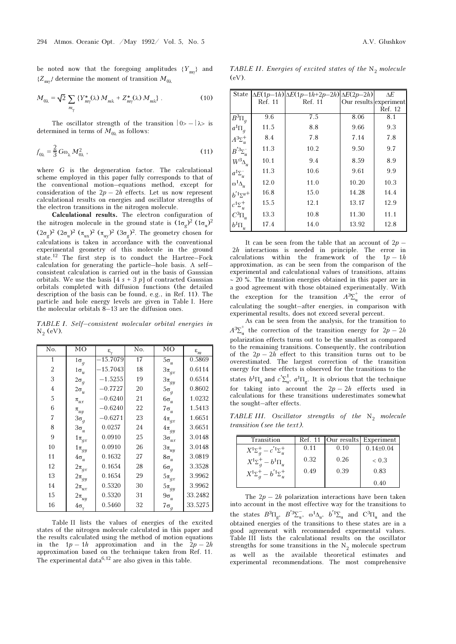be noted now that the foregoing amplitudes  $\{Y_{\text{my}}\}$  and  $(Z_{\text{ref}})$  determines the generate of transition M  $\{Z_{\text{m}\gamma}\}\$  determine the moment of transition  $M_{0\lambda}$ 

$$
M_{0\lambda} = \sqrt{2} \sum_{m_{\gamma}} \left\{ Y_{m\gamma}^*(\lambda) M_{m\lambda} + Z_{m\gamma}^*(\lambda) M_{m\lambda} \right\}.
$$
 (10)

The oscillator strength of the transition  $|0\rangle - |\lambda\rangle$  is determined in terms of  $M_{0\lambda}$  as follows:

$$
f_{0\lambda} = \frac{2}{3} G \omega_{\lambda} M_{0\lambda}^2 \,, \tag{11}
$$

where G is the degeneration factor. The calculational scheme employed in this paper fully corresponds to that of the conventional motion–equations method, except for consideration of the  $2p - 2h$  effects. Let us now represent calculational results on energies and oscillator strengths of the electron transitions in the nitrogen molecule.

Calculational results. The electron configuration of the nitrogen molecule in the ground state is  $(1\sigma_g)^2 (1\sigma_u)^2$  $(2\sigma_g)^2 (2\sigma_u)^2 (\pi_{ux})^2 (\pi_{uy})^2 (3\sigma_g)^2$ . The geometry chosen for calculations is taken in accordance with the conventional experimental geometry of this molecule in the ground state.12 The first step is to conduct the Hartree–Fock calculation for generating the particle–hole basis. A self– consistent calculation is carried out in the basis of Gaussian orbitals. We use the basis  $[4 s + 3 p]$  of contracted Gaussian orbitals completed with diffusion functions (the detailed description of the basis can be found, e.g., in Ref. 11). The particle and hole energy levels are given in Table I. Here the molecular orbitals 8–13 are the diffusion ones.

TABLE I. Self–consistent molecular orbital energies in  $N_2$  (eV).

| No.            | MO                 | $\boldsymbol{\epsilon}_{\rm v}$ | No. | MO             | $\varepsilon_m$ |
|----------------|--------------------|---------------------------------|-----|----------------|-----------------|
| $\mathbf{1}$   | $1\sigma_q$        | $-15.7079$                      | 17  | $5\sigma_u$    | 0.5869          |
| $\overline{2}$ | $1\sigma_u$        | $-15.7043$                      | 18  | $3\pi_{gx}$    | 0.6114          |
| 3              | $2\sigma_g$        | $-1.5255$                       | 19  | $3\pi_{gy}$    | 0.6514          |
| $\overline{4}$ | $2\sigma_u$        | $-0.7727$                       | 20  | $5\sigma_g$    | 0.8602          |
| 5              | $\pi_{ux}$         | $-0.6240$                       | 21  | $6\sigma_u$    | 1.0232          |
| 6              | $\pi_{uy}$         | $-0.6240$                       | 22  | $7\sigma_u$    | 1.5413          |
| 7              | $3\sigma_g$        | $-0.6271$                       | 23  | $4\pi_{gx}$    | 1.6651          |
| 8              | $3\sigma_u$        | 0.0257                          | 24  | $4\pi_{gy}$    | 3.6651          |
| 9              | $1\pi_{gx}$        | 0.0910                          | 25  | $3\sigma_{ux}$ | 3.0148          |
| 10             | $1\pi_{gy}$        | 0.0910                          | 26  | $3\pi_{uy}$    | 3.0148          |
| 11             | $4\sigma_u$        | 0.1632                          | 27  | $8\sigma_u$    | 3.0819          |
| 12             | $2\pi_{gx}$        | 0.1654                          | 28  | $6\sigma_g$    | 3.3528          |
| 13             | $2\pi_{gy}$        | 0.1654                          | 29  | $5\pi_{gx}$    | 3.9962          |
| 14             | $2\pi_{ux}$        | 0.5320                          | 30  | $5\pi_{gy}$    | 3.9962          |
| 15             | $2\pi_{uy}$        | 0.5320                          | 31  | $9\sigma_u$    | 33.2482         |
| 16             | $4\sigma_{\gamma}$ | 0.5460                          | 32  | $7\sigma_g$    | 33.5275         |

Table II lists the values of energies of the excited states of the nitrogen molecule calculated in this paper and the results calculated using the method of motion equations the  $1p - 1h$  approximation and in the  $2p - 2h$ approximation based on the technique taken from Ref. 11. The experimental data<sup>6,12</sup> are also given in this table.

TABLE II. Energies of excited states of the  $N_2$  molecule<br>(eV)  $(eV)$ .

| State                                         |         | $\Delta E(1p-1h)\Delta E(1p-1h+2p-2h)\Delta E(2p-2h)$ |       | ΔE                     |
|-----------------------------------------------|---------|-------------------------------------------------------|-------|------------------------|
|                                               | Ref. 11 | Ref. 11                                               |       | Our results experiment |
|                                               |         |                                                       |       | Ref. 12                |
| $\overline{B^3}\Pi_g$                         | 9.6     | 7.5                                                   | 8.06  | 8.1                    |
| $a^1\Pi_q$                                    | 11.5    | 8.8                                                   | 9.66  | 9.3                    |
| $A^3\Sigma_u^+$                               | 8.4     | 7.8                                                   | 7.14  | 7.8                    |
| $B^{'3}\Sigma_u^-$                            | 11.3    | 10.2                                                  | 9.50  | 9.7                    |
| $W^3\! \Delta_u$                              | 10.1    | 9.4                                                   | 8.59  | 8.9                    |
| $a^1\Sigma_u^-$                               | 11.3    | 10.6                                                  | 9.61  | 9.9                    |
| $\boldsymbol{\omega}^1 \boldsymbol{\Delta}_u$ | 12.0    | 11.0                                                  | 10.20 | 10.3                   |
| $b^{i_1}\Sigma^{u+}$                          | 16.8    | 15.0                                                  | 14.28 | 14.4                   |
| $c^1\Sigma_u^+$                               | 15.5    | 12.1                                                  | 13.17 | 12.9                   |
| $C^3\Pi_u$                                    | 13.3    | 10.8                                                  | 11.30 | 11.1                   |
| $b^1\Pi_u$                                    | 17.4    | 14.0                                                  | 13.92 | 12.8                   |

It can be seen from the table that an account of  $2p 2h$  interactions is needed in principle. The error in calculations within the framework of the  $1p-1h$ approximation, as can be seen from the comparison of the experimental and calculational values of transitions, attains ∼ 20 %. The transition energies obtained in this paper are in a good agreement with those obtained experimentally. With the exception for the transition  $A^3\Sigma_u^+$  the error of explanation the equality of the energies in companion with calculating the sought–after energies, in comparison with experimental results, does not exceed several percent.

As can be seen from the analysis, for the transition to  $A^3\Sigma_u^+$  the correction of the transition energy for  $2p-2h$ polarization effects turns out to be the smallest as compared to the remaining transitions. Consequently, the contribution of the  $2p - 2h$  effect to this transition turns out to be overestimated. The largest correction of the transition energy for these effects is observed for the transitions to the states  $b^1\Pi_u$  and  $c'\Sigma_u^1$ ,  $a^1\Pi_g$ . It is obvious that the technique for taking into account the  $2p - 2h$  effects used in calculations for these transitions underestimates somewhat the sought–after effects.

TABLE III. Oscillator strengths of the  $N_2$  molecule tunnition (see the tent) transition (see the text).

| Transition                           |      |      | Ref. 11   Our results   Experiment |
|--------------------------------------|------|------|------------------------------------|
| $X^1\Sigma^+_a - c^{'1}\Sigma^+_u$   | 0.11 | 0.10 | $0.14 \pm 0.04$                    |
| $X^{1}\Sigma_{a}^{+} - b^{1}\Pi_{u}$ | 0.32 | 0.26 | ~< 0.3                             |
| $X^1\Sigma^+_a-b^{'1}\Sigma^+_u$     | 0.49 | 0.39 | 0.83                               |
|                                      |      |      | 0.40                               |

The  $2p - 2h$  polarization interactions have been taken into account in the most effective way for the transitions to the states  $B^3\Pi_{g}$ ,  $B^{'3}\Sigma_{u}^-$ ,  $\omega^1\Delta_{u}$ ,  $b^{'1}\Sigma_{u}$  and  $C^3\Pi_{u}$  and the obtained energies of the transitions to these states are in a good agreement with recommended expermental values. Table III lists the calculational results on the oscillator strengths for some transitions in the  $N_2$  molecule spectrum<br>as well as the evolution theoretical estimates and as well as the available theoretical estimates and experimental recommendations. The most comprehensive